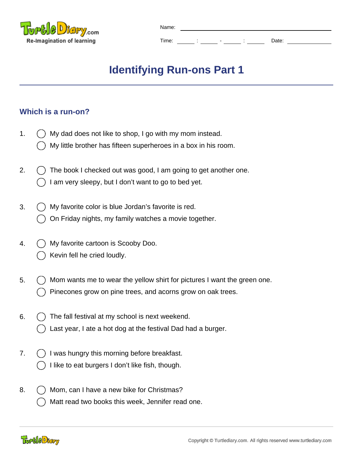

| Name: |        |                          |        |       |
|-------|--------|--------------------------|--------|-------|
|       |        |                          |        |       |
| Time: | ٠<br>٠ | $\overline{\phantom{0}}$ | ٠<br>٠ | Date: |

## **Identifying Run-ons Part 1**

## **Which is a run-on?**

- 1.  $\bigcap$  My dad does not like to shop, I go with my mom instead. My little brother has fifteen superheroes in a box in his room.
- 2.  $\left( \right)$  The book I checked out was good, I am going to get another one. I am very sleepy, but I don't want to go to bed yet.
- 3.  $\bigcap$  My favorite color is blue Jordan's favorite is red. On Friday nights, my family watches a movie together.
- 4.  $\left( \right)$  My favorite cartoon is Scooby Doo. Kevin fell he cried loudly.
- 5.  $\left( \right)$  Mom wants me to wear the yellow shirt for pictures I want the green one. Pinecones grow on pine trees, and acorns grow on oak trees.
- 6.  $( )$  The fall festival at my school is next weekend. Last year, I ate a hot dog at the festival Dad had a burger.
- 7. () I was hungry this morning before breakfast.
	- I like to eat burgers I don't like fish, though.
- 8.  $( )$  Mom, can I have a new bike for Christmas? Matt read two books this week, Jennifer read one.